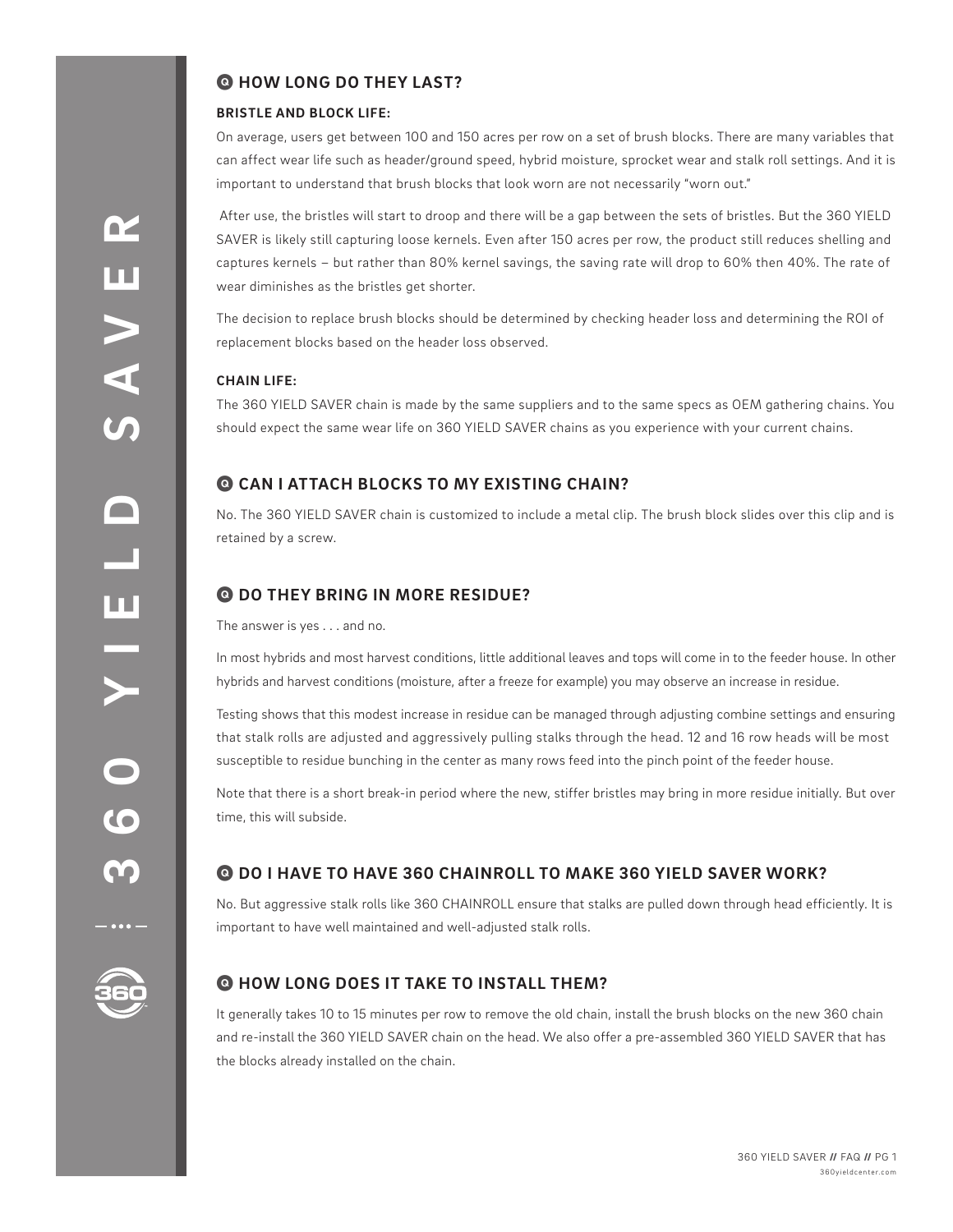# Q **HOW LONG DO THEY LAST?**

#### **BRISTLE AND BLOCK LIFE:**

On average, users get between 100 and 150 acres per row on a set of brush blocks. There are many variables that can affect wear life such as header/ground speed, hybrid moisture, sprocket wear and stalk roll settings. And it is important to understand that brush blocks that look worn are not necessarily "worn out."

 After use, the bristles will start to droop and there will be a gap between the sets of bristles. But the 360 YIELD SAVER is likely still capturing loose kernels. Even after 150 acres per row, the product still reduces shelling and captures kernels – but rather than 80% kernel savings, the saving rate will drop to 60% then 40%. The rate of wear diminishes as the bristles get shorter.

The decision to replace brush blocks should be determined by checking header loss and determining the ROI of replacement blocks based on the header loss observed.

#### **CHAIN LIFE:**

The 360 YIELD SAVER chain is made by the same suppliers and to the same specs as OEM gathering chains. You should expect the same wear life on 360 YIELD SAVER chains as you experience with your current chains.

## Q **CAN I ATTACH BLOCKS TO MY EXISTING CHAIN?**

No. The 360 YIELD SAVER chain is customized to include a metal clip. The brush block slides over this clip and is retained by a screw.

## Q **DO THEY BRING IN MORE RESIDUE?**

The answer is yes . . . and no.

In most hybrids and most harvest conditions, little additional leaves and tops will come in to the feeder house. In other hybrids and harvest conditions (moisture, after a freeze for example) you may observe an increase in residue.

Testing shows that this modest increase in residue can be managed through adjusting combine settings and ensuring that stalk rolls are adjusted and aggressively pulling stalks through the head. 12 and 16 row heads will be most susceptible to residue bunching in the center as many rows feed into the pinch point of the feeder house.

Note that there is a short break-in period where the new, stiffer bristles may bring in more residue initially. But over time, this will subside.

## Q **DO I HAVE TO HAVE 360 CHAINROLL TO MAKE 360 YIELD SAVER WORK?**

No. But aggressive stalk rolls like 360 CHAINROLL ensure that stalks are pulled down through head efficiently. It is important to have well maintained and well-adjusted stalk rolls.



## Q **HOW LONG DOES IT TAKE TO INSTALL THEM?**

It generally takes 10 to 15 minutes per row to remove the old chain, install the brush blocks on the new 360 chain and re-install the 360 YIELD SAVER chain on the head. We also offer a pre-assembled 360 YIELD SAVER that has the blocks already installed on the chain.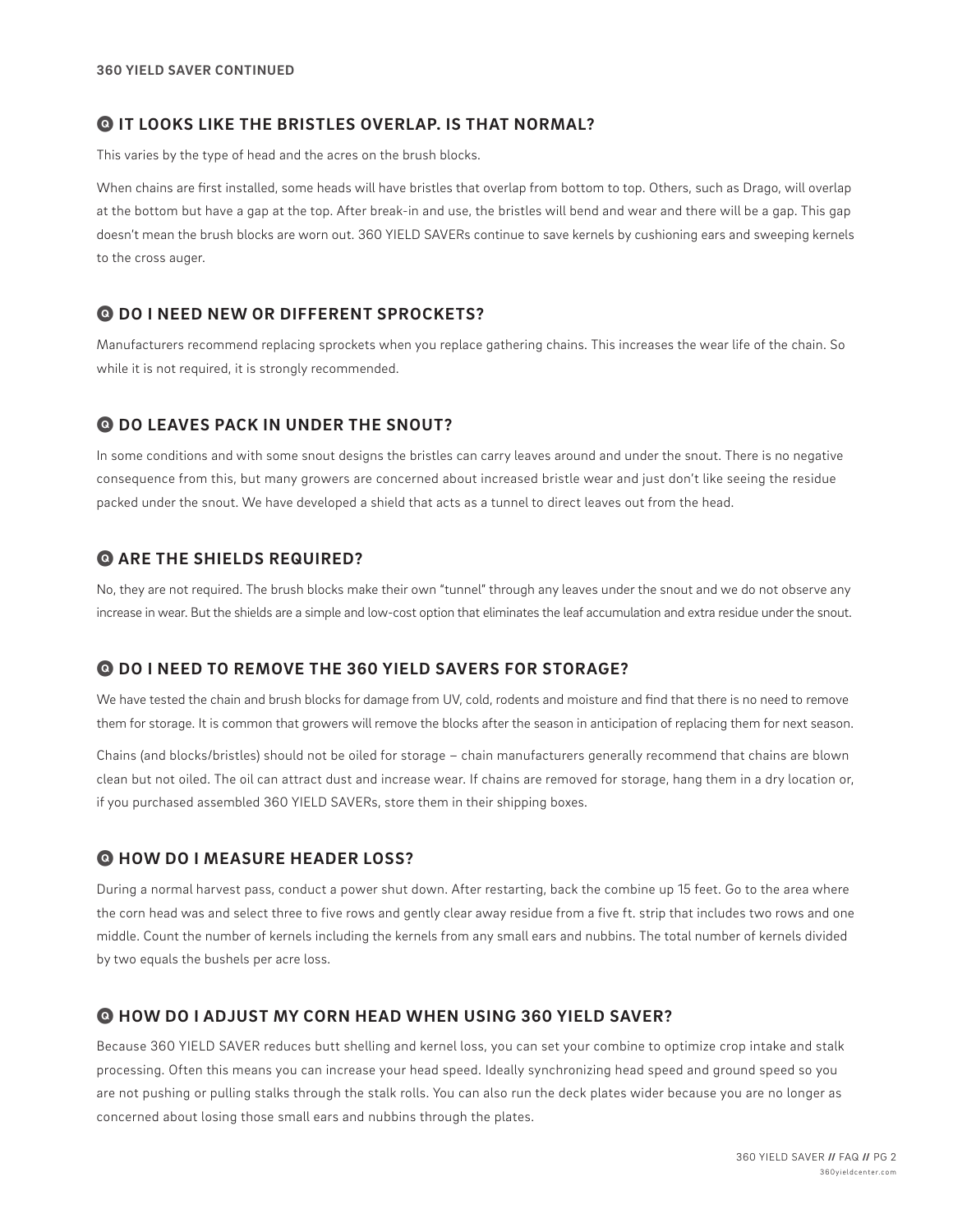#### Q **IT LOOKS LIKE THE BRISTLES OVERLAP. IS THAT NORMAL?**

This varies by the type of head and the acres on the brush blocks.

When chains are first installed, some heads will have bristles that overlap from bottom to top. Others, such as Drago, will overlap at the bottom but have a gap at the top. After break-in and use, the bristles will bend and wear and there will be a gap. This gap doesn't mean the brush blocks are worn out. 360 YIELD SAVERs continue to save kernels by cushioning ears and sweeping kernels to the cross auger.

#### Q **DO I NEED NEW OR DIFFERENT SPROCKETS?**

Manufacturers recommend replacing sprockets when you replace gathering chains. This increases the wear life of the chain. So while it is not required, it is strongly recommended.

#### Q **DO LEAVES PACK IN UNDER THE SNOUT?**

In some conditions and with some snout designs the bristles can carry leaves around and under the snout. There is no negative consequence from this, but many growers are concerned about increased bristle wear and just don't like seeing the residue packed under the snout. We have developed a shield that acts as a tunnel to direct leaves out from the head.

## Q **ARE THE SHIELDS REQUIRED?**

No, they are not required. The brush blocks make their own "tunnel" through any leaves under the snout and we do not observe any increase in wear. But the shields are a simple and low-cost option that eliminates the leaf accumulation and extra residue under the snout.

## Q **DO I NEED TO REMOVE THE 360 YIELD SAVERS FOR STORAGE?**

We have tested the chain and brush blocks for damage from UV, cold, rodents and moisture and find that there is no need to remove them for storage. It is common that growers will remove the blocks after the season in anticipation of replacing them for next season.

Chains (and blocks/bristles) should not be oiled for storage – chain manufacturers generally recommend that chains are blown clean but not oiled. The oil can attract dust and increase wear. If chains are removed for storage, hang them in a dry location or, if you purchased assembled 360 YIELD SAVERs, store them in their shipping boxes.

## Q **HOW DO I MEASURE HEADER LOSS?**

During a normal harvest pass, conduct a power shut down. After restarting, back the combine up 15 feet. Go to the area where the corn head was and select three to five rows and gently clear away residue from a five ft. strip that includes two rows and one middle. Count the number of kernels including the kernels from any small ears and nubbins. The total number of kernels divided by two equals the bushels per acre loss.

#### Q **HOW DO I ADJUST MY CORN HEAD WHEN USING 360 YIELD SAVER?**

Because 360 YIELD SAVER reduces butt shelling and kernel loss, you can set your combine to optimize crop intake and stalk processing. Often this means you can increase your head speed. Ideally synchronizing head speed and ground speed so you are not pushing or pulling stalks through the stalk rolls. You can also run the deck plates wider because you are no longer as concerned about losing those small ears and nubbins through the plates.